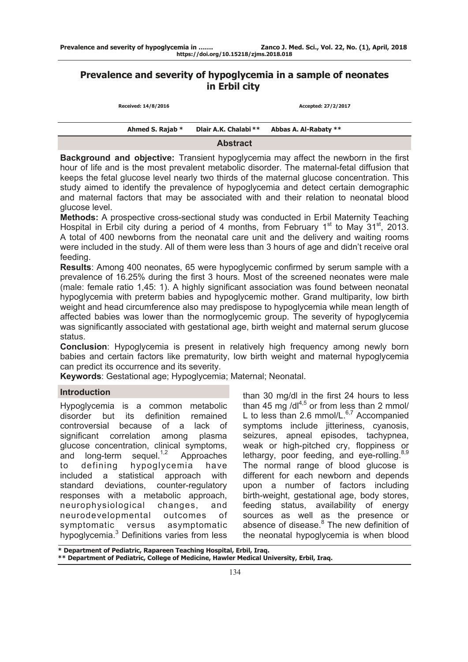# **Prevalence and severity of hypoglycemia in a sample of neonates in Erbil city**

**Received: 14/8/2016 Accepted: 27/2/2017** 

| Ahmed S. Rajab * |                 | Dlair A.K. Chalabi ** Abbas A. Al-Rabaty ** |
|------------------|-----------------|---------------------------------------------|
|                  | <b>Abstract</b> |                                             |

**Background and objective:** Transient hypoglycemia may affect the newborn in the first hour of life and is the most prevalent metabolic disorder. The maternal-fetal diffusion that keeps the fetal glucose level nearly two thirds of the maternal glucose concentration. This study aimed to identify the prevalence of hypoglycemia and detect certain demographic and maternal factors that may be associated with and their relation to neonatal blood glucose level.

**Methods:** A prospective cross-sectional study was conducted in Erbil Maternity Teaching Hospital in Erbil city during a period of 4 months, from February  $1<sup>st</sup>$  to May  $31<sup>st</sup>$ , 2013. A total of 400 newborns from the neonatal care unit and the delivery and waiting rooms were included in the study. All of them were less than 3 hours of age and didn't receive oral feeding.

**Results**: Among 400 neonates, 65 were hypoglycemic confirmed by serum sample with a prevalence of 16.25% during the first 3 hours. Most of the screened neonates were male (male: female ratio 1,45: 1). A highly significant association was found between neonatal hypoglycemia with preterm babies and hypoglycemic mother. Grand multiparity, low birth weight and head circumference also may predispose to hypoglycemia while mean length of affected babies was lower than the normoglycemic group. The severity of hypoglycemia was significantly associated with gestational age, birth weight and maternal serum glucose status.

**Conclusion**: Hypoglycemia is present in relatively high frequency among newly born babies and certain factors like prematurity, low birth weight and maternal hypoglycemia can predict its occurrence and its severity.

**Keywords**: Gestational age; Hypoglycemia; Maternal; Neonatal.

## **Introduction**

Hypoglycemia is a common metabolic disorder but its definition remained controversial because of a lack of significant correlation among plasma glucose concentration, clinical symptoms, and long-term sequel. $1,2$  Approaches to defining hypoglycemia have included a statistical approach with standard deviations, counter-regulatory responses with a metabolic approach, neurophysiological changes, and neurodevelopmental outcomes of symptomatic versus asymptomatic hypoglycemia.<sup>3</sup> Definitions varies from less

than 30 mg/dl in the first 24 hours to less than 45 mg /dl<sup>4,5</sup> or from less than 2 mmol/ L to less than 2.6 mmol/L. $^{6,7}$  Accompanied symptoms include jitteriness, cyanosis, seizures, apneal episodes, tachypnea, weak or high-pitched cry, floppiness or lethargy, poor feeding, and eye-rolling. $8,9$ The normal range of blood glucose is different for each newborn and depends upon a number of factors including birth-weight, gestational age, body stores, feeding status, availability of energy sources as well as the presence or absence of disease.<sup>8</sup> The new definition of the neonatal hypoglycemia is when blood

```
* Department of Pediatric, Rapareen Teaching Hospital, Erbil, Iraq. 
** Department of Pediatric, College of Medicine, Hawler Medical University, Erbil, Iraq.
```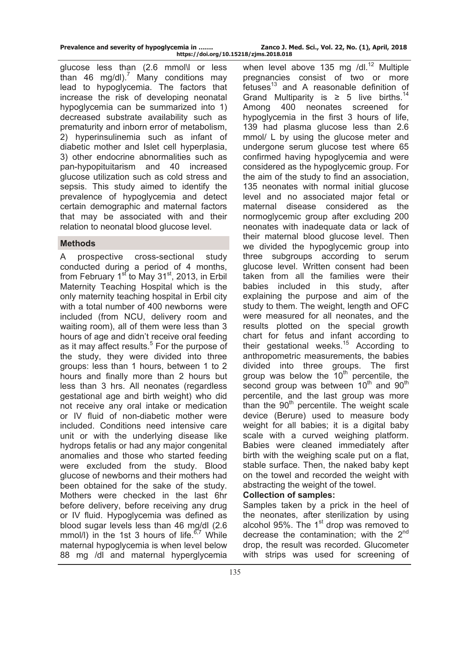| Prevalence and severity of hypoglycemia in |  |  |  |
|--------------------------------------------|--|--|--|
|                                            |  |  |  |

glucose less than (2.6 mmol\l or less than 46 mg/dl).<sup>7</sup> Many conditions may lead to hypoglycemia. The factors that increase the risk of developing neonatal hypoglycemia can be summarized into 1) decreased substrate availability such as prematurity and inborn error of metabolism, 2) hyperinsulinemia such as infant of diabetic mother and Islet cell hyperplasia, 3) other endocrine abnormalities such as pan-hypopituitarism and 40 increased glucose utilization such as cold stress and sepsis. This study aimed to identify the prevalence of hypoglycemia and detect certain demographic and maternal factors that may be associated with and their relation to neonatal blood glucose level.

## **Methods**

A prospective cross-sectional study conducted during a period of 4 months, from February  $1<sup>st</sup>$  to May 31 $<sup>st</sup>$ , 2013, in Erbil</sup> Maternity Teaching Hospital which is the only maternity teaching hospital in Erbil city with a total number of 400 newborns were included (from NCU, delivery room and waiting room), all of them were less than 3 hours of age and didn't receive oral feeding as it may affect results.<sup>5</sup> For the purpose of the study, they were divided into three groups: less than 1 hours, between 1 to 2 hours and finally more than 2 hours but less than 3 hrs. All neonates (regardless gestational age and birth weight) who did not receive any oral intake or medication or IV fluid of non-diabetic mother were included. Conditions need intensive care unit or with the underlying disease like hydrops fetalis or had any major congenital anomalies and those who started feeding were excluded from the study. Blood glucose of newborns and their mothers had been obtained for the sake of the study. Mothers were checked in the last 6hr before delivery, before receiving any drug or IV fluid. Hypoglycemia was defined as blood sugar levels less than 46 mg/dl (2.6 mmol/l) in the 1st 3 hours of life. $6.7$  While maternal hypoglycemia is when level below 88 mg /dl and maternal hyperglycemia

when level above 135 mg /dl.<sup>12</sup> Multiple pregnancies consist of two or more fetuses $13$  and A reasonable definition of Grand Multiparity is  $\geq$  5 live births.<sup>14</sup> Among 400 neonates screened for hypoglycemia in the first 3 hours of life, 139 had plasma glucose less than 2.6 mmol/ L by using the glucose meter and undergone serum glucose test where 65 confirmed having hypoglycemia and were considered as the hypoglycemic group. For the aim of the study to find an association, 135 neonates with normal initial glucose level and no associated major fetal or maternal disease considered as the normoglycemic group after excluding 200 neonates with inadequate data or lack of their maternal blood glucose level. Then we divided the hypoglycemic group into three subgroups according to serum glucose level. Written consent had been taken from all the families were their babies included in this study, after explaining the purpose and aim of the study to them. The weight, length and OFC were measured for all neonates, and the results plotted on the special growth chart for fetus and infant according to their gestational weeks.<sup>15</sup> According to anthropometric measurements, the babies divided into three groups. The first group was below the  $10<sup>th</sup>$  percentile, the second group was between 10<sup>th</sup> and 90<sup>th</sup> percentile, and the last group was more than the  $90<sup>th</sup>$  percentile. The weight scale device (Berure) used to measure body weight for all babies; it is a digital baby scale with a curved weighing platform. Babies were cleaned immediately after birth with the weighing scale put on a flat, stable surface. Then, the naked baby kept on the towel and recorded the weight with abstracting the weight of the towel.

## **Collection of samples:**

Samples taken by a prick in the heel of the neonates, after sterilization by using alcohol 95%. The  $1<sup>st</sup>$  drop was removed to decrease the contamination; with the  $2^{nd}$ drop, the result was recorded. Glucometer with strips was used for screening of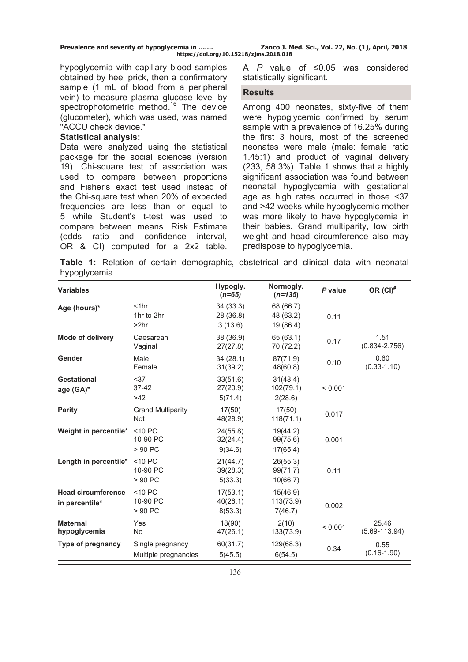| Prevalence and severity of hypoglycemia in | Zanco J. Med. Sci., Vol. 22, No. (1), April, 2018 |
|--------------------------------------------|---------------------------------------------------|
| https://doi.org/10.15218/zjms.2018.018     |                                                   |

hypoglycemia with capillary blood samples obtained by heel prick, then a confirmatory sample (1 mL of blood from a peripheral vein) to measure plasma glucose level by spectrophotometric method.<sup>16</sup> The device (glucometer), which was used, was named "ACCU check device."

#### **Statistical analysis:**

Data were analyzed using the statistical package for the social sciences (version 19). Chi-square test of association was used to compare between proportions and Fisher's exact test used instead of the Chi-square test when 20% of expected frequencies are less than or equal to 5 while Student's t-test was used to compare between means. Risk Estimate (odds ratio and confidence interval, OR & CI) computed for a 2x2 table. A *P* value of ≤0.05 was considered statistically significant.

### **Results**

Among 400 neonates, sixty-five of them were hypoglycemic confirmed by serum sample with a prevalence of 16.25% during the first 3 hours, most of the screened neonates were male (male: female ratio 1.45:1) and product of vaginal delivery (233, 58.3%). Table 1 shows that a highly significant association was found between neonatal hypoglycemia with gestational age as high rates occurred in those <37 and >42 weeks while hypoglycemic mother was more likely to have hypoglycemia in their babies. Grand multiparity, low birth weight and head circumference also may predispose to hypoglycemia.

**Table 1:** Relation of certain demographic, obstetrical and clinical data with neonatal hypoglycemia

| <b>Variables</b>                            |                                          | Hypogly.<br>$(n=65)$              | Normogly.<br>$(n=135)$              | P value | OR $(Cl)^#$                |
|---------------------------------------------|------------------------------------------|-----------------------------------|-------------------------------------|---------|----------------------------|
| Age (hours)*                                | $<$ 1 $hr$<br>1hr to 2hr<br>>2hr         | 34 (33.3)<br>28 (36.8)<br>3(13.6) | 68 (66.7)<br>48 (63.2)<br>19 (86.4) | 0.11    |                            |
| <b>Mode of delivery</b>                     | Caesarean<br>Vaginal                     | 38 (36.9)<br>27(27.8)             | 65 (63.1)<br>70 (72.2)              | 0.17    | 1.51<br>$(0.834 - 2.756)$  |
| Gender                                      | Male<br>Female                           | 34(28.1)<br>31(39.2)              | 87(71.9)<br>48(60.8)                | 0.10    | 0.60<br>$(0.33 - 1.10)$    |
| <b>Gestational</b><br>age (GA)*             | $37$<br>$37 - 42$<br>>42                 | 33(51.6)<br>27(20.9)<br>5(71.4)   | 31(48.4)<br>102(79.1)<br>2(28.6)    | < 0.001 |                            |
| <b>Parity</b>                               | <b>Grand Multiparity</b><br><b>Not</b>   | 17(50)<br>48(28.9)                | 17(50)<br>118(71.1)                 | 0.017   |                            |
| Weight in percentile*                       | $<$ 10 PC<br>10-90 PC<br>> 90 PC         | 24(55.8)<br>32(24.4)<br>9(34.6)   | 19(44.2)<br>99(75.6)<br>17(65.4)    | 0.001   |                            |
| Length in percentile*                       | $<$ 10 PC<br>10-90 PC<br>$> 90$ PC       | 21(44.7)<br>39(28.3)<br>5(33.3)   | 26(55.3)<br>99(71.7)<br>10(66.7)    | 0.11    |                            |
| <b>Head circumference</b><br>in percentile* | $<$ 10 PC<br>10-90 PC<br>> 90 PC         | 17(53.1)<br>40(26.1)<br>8(53.3)   | 15(46.9)<br>113(73.9)<br>7(46.7)    | 0.002   |                            |
| <b>Maternal</b><br>hypoglycemia             | Yes<br>No.                               | 18(90)<br>47(26.1)                | 2(10)<br>133(73.9)                  | < 0.001 | 25.46<br>$(5.69 - 113.94)$ |
| Type of pregnancy                           | Single pregnancy<br>Multiple pregnancies | 60(31.7)<br>5(45.5)               | 129(68.3)<br>6(54.5)                | 0.34    | 0.55<br>$(0.16 - 1.90)$    |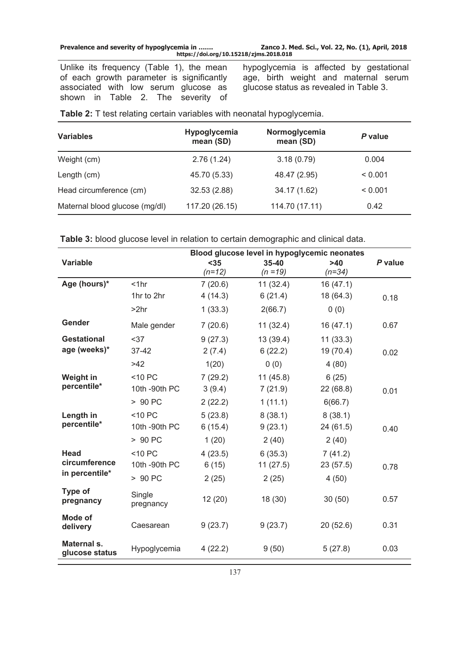| Prevalence and severity of hypoglycemia in | Zanco J. Med. Sci., Vol. 22, No. (1), April, 2018 |
|--------------------------------------------|---------------------------------------------------|
|--------------------------------------------|---------------------------------------------------|

Unlike its frequency (Table 1), the mean of each growth parameter is significantly associated with low serum glucose as shown in Table 2. The severity of

**https://doi.org/10.15218/zjms.2018.018**

hypoglycemia is affected by gestational age, birth weight and maternal serum glucose status as revealed in Table 3.

| <b>Variables</b>               | Hypoglycemia<br>mean (SD) | Normoglycemia<br>mean (SD) | P value |
|--------------------------------|---------------------------|----------------------------|---------|
| Weight (cm)                    | 2.76(1.24)                | 3.18(0.79)                 | 0.004   |
| Length (cm)                    | 45.70 (5.33)              | 48.47 (2.95)               | < 0.001 |
| Head circumference (cm)        | 32.53 (2.88)              | 34.17 (1.62)               | < 0.001 |
| Maternal blood glucose (mg/dl) | 117.20 (26.15)            | 114.70 (17.11)             | 0.42    |

**Table 2:** T test relating certain variables with neonatal hypoglycemia.

| Table 3: blood glucose level in relation to certain demographic and clinical data. |  |  |  |  |  |
|------------------------------------------------------------------------------------|--|--|--|--|--|
|------------------------------------------------------------------------------------|--|--|--|--|--|

|                               |                     | Blood glucose level in hypoglycemic neonates |                         |                   |         |
|-------------------------------|---------------------|----------------------------------------------|-------------------------|-------------------|---------|
| Variable                      |                     | $35$<br>$(n=12)$                             | $35 - 40$<br>$(n = 19)$ | $>40$<br>$(n=34)$ | P value |
| Age (hours)*                  | $1hr$               | 7(20.6)                                      | 11(32.4)                | 16(47.1)          |         |
|                               | 1hr to 2hr          | 4(14.3)                                      | 6(21.4)                 | 18 (64.3)         | 0.18    |
|                               | >2hr                | 1(33.3)                                      | 2(66.7)                 | 0(0)              |         |
| Gender                        | Male gender         | 7(20.6)                                      | 11(32.4)                | 16(47.1)          | 0.67    |
| <b>Gestational</b>            | $37$                | 9(27.3)                                      | 13(39.4)                | 11(33.3)          |         |
| age (weeks)*                  | $37 - 42$           | 2(7.4)                                       | 6(22.2)                 | 19 (70.4)         | 0.02    |
|                               | >42                 | 1(20)                                        | 0(0)                    | 4(80)             |         |
| <b>Weight in</b>              | $<$ 10 PC           | 7(29.2)                                      | 11(45.8)                | 6(25)             |         |
| percentile*                   | 10th -90th PC       | 3(9.4)                                       | 7(21.9)                 | 22(68.8)          | 0.01    |
|                               | > 90 PC             | 2(22.2)                                      | 1(11.1)                 | 6(66.7)           |         |
| Length in                     | $<$ 10 PC           | 5(23.8)                                      | 8(38.1)                 | 8(38.1)           |         |
| percentile*                   | 10th -90th PC       | 6(15.4)                                      | 9(23.1)                 | 24 (61.5)         | 0.40    |
|                               | > 90 PC             | 1(20)                                        | 2(40)                   | 2(40)             |         |
| Head                          | $<$ 10 PC           | 4(23.5)                                      | 6(35.3)                 | 7(41.2)           |         |
| circumference                 | 10th -90th PC       | 6(15)                                        | 11(27.5)                | 23(57.5)          | 0.78    |
| in percentile*                | > 90 PC             | 2(25)                                        | 2(25)                   | 4(50)             |         |
| Type of<br>pregnancy          | Single<br>pregnancy | 12(20)                                       | 18(30)                  | 30(50)            | 0.57    |
| Mode of<br>delivery           | Caesarean           | 9(23.7)                                      | 9(23.7)                 | 20(52.6)          | 0.31    |
| Maternal s.<br>glucose status | Hypoglycemia        | 4(22.2)                                      | 9(50)                   | 5(27.8)           | 0.03    |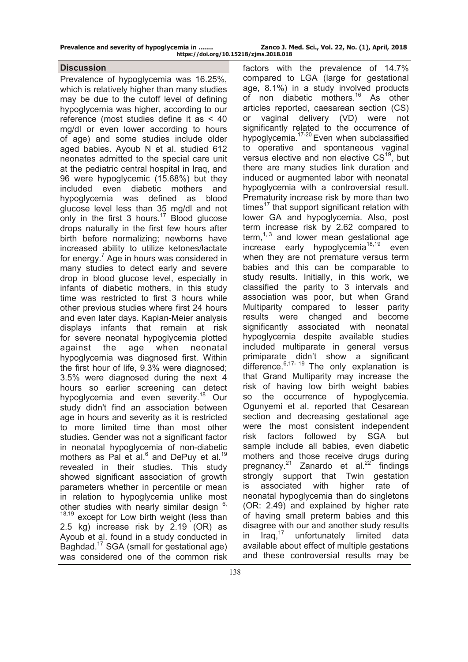| Prevalence and severity of hypoglycemia in | Zanco J. Med. Sci., Vol. 22, No. (1), April, 2018 |  |  |  |  |
|--------------------------------------------|---------------------------------------------------|--|--|--|--|
| https://doi.org/10.15218/zjms.2018.018     |                                                   |  |  |  |  |

### **Discussion**

Prevalence of hypoglycemia was 16.25%, which is relatively higher than many studies may be due to the cutoff level of defining hypoglycemia was higher, according to our reference (most studies define it as < 40 mg/dl or even lower according to hours of age) and some studies include older aged babies. Ayoub N et al. studied 612 neonates admitted to the special care unit at the pediatric central hospital in Iraq, and 96 were hypoglycemic (15.68%) but they included even diabetic mothers and hypoglycemia was defined as blood glucose level less than 35 mg/dl and not only in the first  $3$  hours.<sup>17</sup> Blood glucose drops naturally in the first few hours after birth before normalizing; newborns have increased ability to utilize ketones/lactate for energy.<sup>7</sup> Age in hours was considered in many studies to detect early and severe drop in blood glucose level, especially in infants of diabetic mothers, in this study time was restricted to first 3 hours while other previous studies where first 24 hours and even later days. Kaplan-Meier analysis displays infants that remain at risk for severe neonatal hypoglycemia plotted against the age when neonatal hypoglycemia was diagnosed first. Within the first hour of life, 9.3% were diagnosed; 3.5% were diagnosed during the next 4 hours so earlier screening can detect hypoglycemia and even severity.<sup>18</sup> Our study didn't find an association between age in hours and severity as it is restricted to more limited time than most other studies. Gender was not a significant factor in neonatal hypoglycemia of non-diabetic mothers as Pal et al. $<sup>6</sup>$  and DePuy et al.<sup>19</sup></sup> revealed in their studies. This study showed significant association of growth parameters whether in percentile or mean in relation to hypoglycemia unlike most other studies with nearly similar design  $6$ , <sup>18,19</sup> except for Low birth weight (less than 2.5 kg) increase risk by 2.19 (OR) as Ayoub et al. found in a study conducted in Baghdad.17 SGA (small for gestational age) was considered one of the common risk

factors with the prevalence of 14.7% compared to LGA (large for gestational age, 8.1%) in a study involved products of non diabetic mothers.<sup>16</sup> As other articles reported, caesarean section (CS) or vaginal delivery (VD) were not significantly related to the occurrence of hypoglycemia.<sup>17-20</sup> Even when subclassified to operative and spontaneous vaginal versus elective and non elective  $CS^{19}$ , but there are many studies link duration and induced or augmented labor with neonatal hypoglycemia with a controversial result. Prematurity increase risk by more than two times<sup>17</sup> that support significant relation with lower GA and hypoglycemia. Also, post term increase risk by 2.62 compared to term.<sup>1, 3</sup> and lower mean gestational age  $increases$  early hypoglycemia<sup>18,19</sup> even when they are not premature versus term babies and this can be comparable to study results. Initially, in this work, we classified the parity to 3 intervals and association was poor, but when Grand Multiparity compared to lesser parity results were changed and become significantly associated with neonatal hypoglycemia despite available studies included multiparate in general versus primiparate didn't show a significant difference. $6,17-19$  The only explanation is that Grand Multiparity may increase the risk of having low birth weight babies so the occurrence of hypoglycemia. Ogunyemi et al. reported that Cesarean section and decreasing gestational age were the most consistent independent risk factors followed by SGA but sample include all babies, even diabetic mothers and those receive drugs during pregnancy.<sup>21</sup> Zanardo et al.<sup>22</sup> findings strongly support that Twin gestation is associated with higher rate of neonatal hypoglycemia than do singletons (OR: 2.49) and explained by higher rate of having small preterm babies and this disagree with our and another study results in  $Iraq<sub>17</sub>$  unfortunately limited data available about effect of multiple gestations and these controversial results may be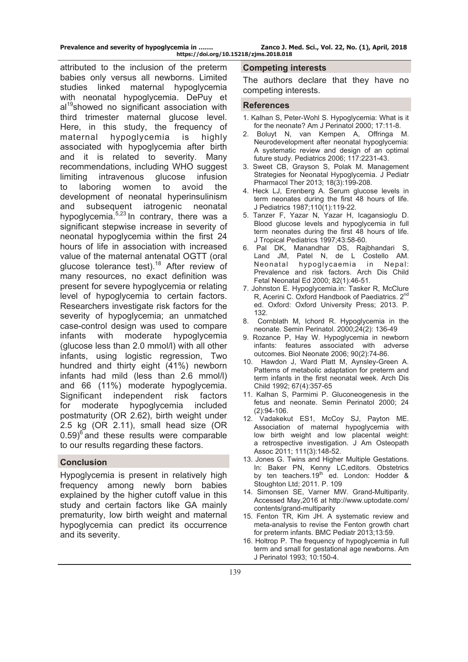attributed to the inclusion of the preterm babies only versus all newborns. Limited studies linked maternal hypoglycemia with neonatal hypoglycemia. DePuy et al<sup>19</sup>showed no significant association with third trimester maternal glucose level. Here, in this study, the frequency of maternal hypoglycemia is highly associated with hypoglycemia after birth and it is related to severity. Many recommendations, including WHO suggest limiting intravenous glucose infusion to laboring women to avoid the development of neonatal hyperinsulinism and subsequent iatrogenic neonatal hypoglycemia.<sup>5,23</sup> In contrary, there was a significant stepwise increase in severity of neonatal hypoglycemia within the first 24 hours of life in association with increased value of the maternal antenatal OGTT (oral glucose tolerance test).<sup>18</sup> After review of many resources, no exact definition was present for severe hypoglycemia or relating level of hypoglycemia to certain factors. Researchers investigate risk factors for the severity of hypoglycemia; an unmatched case-control design was used to compare infants with moderate hypoglycemia (glucose less than 2.0 mmol/l) with all other infants, using logistic regression, Two hundred and thirty eight (41%) newborn infants had mild (less than 2.6 mmol/l) and 66 (11%) moderate hypoglycemia. Significant independent risk factors for moderate hypoglycemia included postmaturity (OR 2.62), birth weight under 2.5 kg (OR 2.11), small head size (OR  $(0.59)^6$  and these results were comparable to our results regarding these factors.

## **Conclusion**

Hypoglycemia is present in relatively high frequency among newly born babies explained by the higher cutoff value in this study and certain factors like GA mainly prematurity, low birth weight and maternal hypoglycemia can predict its occurrence and its severity.

### **Competing interests**

The authors declare that they have no competing interests.

#### **References**

- 1. Kalhan S, Peter-Wohl S. Hypoglycemia: What is it for the neonate? Am J Perinatol 2000; 17:11-8.
- 2. Boluyt N, van Kempen A, Offringa M. Neurodevelopment after neonatal hypoglycemia: A systematic review and design of an optimal future study. Pediatrics 2006; 117:2231-43.
- 3. [Sweet](http://www.ncbi.nlm.nih.gov/pubmed/?term=Sweet%20CB%5Bauth%5D) CB, [Grayson](http://www.ncbi.nlm.nih.gov/pubmed/?term=Grayson%20S%5Bauth%5D) S, [Polak](http://www.ncbi.nlm.nih.gov/pubmed/?term=Polak%20M%5Bauth%5D) M. Management Strategies for Neonatal Hypoglycemia. J Pediatr Pharmacol Ther 2013; 18(3):199-208.
- 4. Heck LJ, Erenberg A. Serum glucose levels in term neonates during the first 48 hours of life. J Pediatrics 1987;110(1):119-22.
- 5. Tanzer F, Yazar N, Yazar H, Icagansioglu D. Blood glucose levels and hypoglycemia in full term neonates during the first 48 hours of life. J Tropical Pediatrics 1997;43:58-60.
- 6. [Pal DK](http://www.ncbi.nlm.nih.gov/pubmed/?term=Pal%20DK%5BAuthor%5D&cauthor=true&cauthor_uid=10634842), [Manandhar DS](http://www.ncbi.nlm.nih.gov/pubmed/?term=Manandhar%20DS%5BAuthor%5D&cauthor=true&cauthor_uid=10634842), [Rajbhandari S](http://www.ncbi.nlm.nih.gov/pubmed/?term=Rajbhandari%20S%5BAuthor%5D&cauthor=true&cauthor_uid=10634842), [Land JM](http://www.ncbi.nlm.nih.gov/pubmed/?term=Land%20JM%5BAuthor%5D&cauthor=true&cauthor_uid=10634842), [Patel N](http://www.ncbi.nlm.nih.gov/pubmed/?term=Patel%20N%5BAuthor%5D&cauthor=true&cauthor_uid=10634842), [de L Costello AM.](http://www.ncbi.nlm.nih.gov/pubmed/?term=de%20L%20Costello%20AM%5BAuthor%5D&cauthor=true&cauthor_uid=10634842) Neonatal hypoglycaemia in Nepal: Prevalence and risk factors. [Arch Dis Child](http://edition.)  [Fetal Neonatal Ed](http://edition.) 2000; 82(1):46-51.
- 7. Johnston E. Hypoglycemia.in: Tasker R, McClure R, Acerini C. Oxford Handbook of Paediatrics. 2nd ed. Oxford: Oxford University Press; 2013. P. 132.
- 8. Cornblath M, Ichord R. Hypoglycemia in the neonate. Semin Perinatol. 2000;24(2): 136-49
- 9. Rozance P, Hay W. Hypoglycemia in newborn infants: features associated with adverse outcomes. Biol Neonate 2006; 90(2):74-86.
- 10. Hawdon J, Ward Platt M, Aynsley-Green A. Patterns of metabolic adaptation for preterm and term infants in the first neonatal week. Arch Dis Child 1992; 67(4):357-65
- 11. Kalhan S, Parmimi P. Gluconeogenesis in the fetus and neonate. Semin Perinatol 2000; 24 (2):94-106.<br>12. Vadakeku
- [Vadakekut ES1](http://www.ncbi.nlm.nih.gov/pubmed/?term=Vadakekut%20ES%5BAuthor%5D&cauthor=true&cauthor_uid=21464263), [McCoy SJ](http://www.ncbi.nlm.nih.gov/pubmed/?term=McCoy%20SJ%5BAuthor%5D&cauthor=true&cauthor_uid=21464263), [Payton ME.](http://www.ncbi.nlm.nih.gov/pubmed/?term=Payton%20ME%5BAuthor%5D&cauthor=true&cauthor_uid=21464263) Association of maternal hypoglycemia with low birth weight and low placental weight: a retrospective investigation. [J Am Osteopath](http://association.)  [Assoc](http://association.) 2011; 111(3):148-52.
- 13. Jones G. Twins and Higher Multiple Gestations. In: Baker PN, Kenny LC,editors. Obstetrics by ten teachers.19<sup>th</sup> ed. London: Hodder & Stoughton Ltd; 2011. P. 109
- 14. Simonsen SE, Varner MW. Grand-Multiparity. Accessed May,2016 at http://www.uptodate.com/ contents/grand-multiparity
- 15. Fenton TR, Kim JH. A systematic review and meta-analysis to revise the Fenton growth chart for preterm infants. BMC Pediatr 2013;13:59.
- 16. Holtrop P. The frequency of hypoglycemia in full term and small for gestational age newborns. Am J Perinatol 1993; 10:150-4.